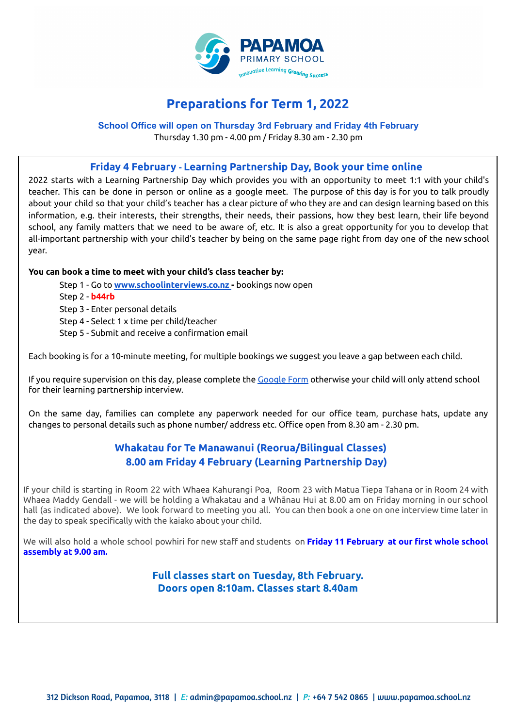

# **Preparations for Term 1, 2022**

## **School Office will open on Thursday 3rd February and Friday 4th February**

Thursday 1.30 pm - 4.00 pm / Friday 8.30 am - 2.30 pm

### **Friday 4 February - Learning Partnership Day, Book your time online**

2022 starts with a Learning Partnership Day which provides you with an opportunity to meet 1:1 with your child's teacher. This can be done in person or online as a google meet. The purpose of this day is for you to talk proudly about your child so that your child's teacher has a clear picture of who they are and can design learning based on this information, e.g. their interests, their strengths, their needs, their passions, how they best learn, their life beyond school, any family matters that we need to be aware of, etc. It is also a great opportunity for you to develop that all-important partnership with your child's teacher by being on the same page right from day one of the new school year.

#### **You can book a time to meet with your child's class teacher by:**

- Step 1 Go to **[www.schoolinterviews.co.nz](http://www.schoolinterviews.co.nz) -** bookings now open
- Step 2 **b44rb**
- Step 3 Enter personal details
- Step 4 Select 1 x time per child/teacher
- Step 5 Submit and receive a confirmation email

Each booking is for a 10-minute meeting, for multiple bookings we suggest you leave a gap between each child.

If you require supervision on this day, please complete the [Google](https://forms.gle/QzzUt4zQgLp8eres8) Form otherwise your child will only attend school for their learning partnership interview.

On the same day, families can complete any paperwork needed for our office team, purchase hats, update any changes to personal details such as phone number/ address etc. Office open from 8.30 am - 2.30 pm.

# **Whakatau for Te Manawanui (Reorua/Bilingual Classes) 8.00 am Friday 4 February (Learning Partnership Day)**

If your child is starting in Room 22 with Whaea Kahurangi Poa, Room 23 with Matua Tiepa Tahana or in Room 24 with Whaea Maddy Gendall - we will be holding a Whakatau and a Whānau Hui at 8.00 am on Friday morning in our school hall (as indicated above). We look forward to meeting you all. You can then book a one on one interview time later in the day to speak specifically with the kaiako about your child.

We will also hold a whole school powhiri for new staff and students on **Friday 11 February at our first whole school assembly at 9.00 am.**

## **Full classes start on Tuesday, 8th February. Doors open 8:10am. Classes start 8.40am**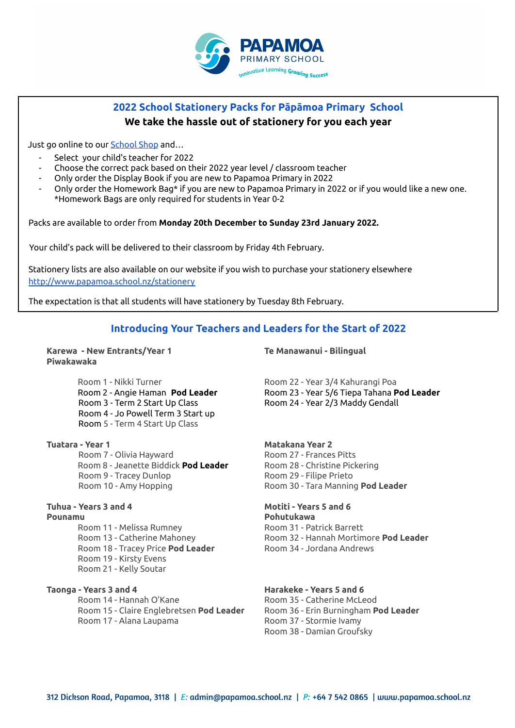

# **2022 School Stationery Packs for Pāpāmoa Primary School We take the hassle out of stationery for you each year**

Just go online to our **[School](https://shop.tgcl.co.nz/shop/q2.shtml?session=false&shop=Papamoa%20Primary%20School) Shop** and...

- Select your child's teacher for 2022
- Choose the correct pack based on their 2022 year level / classroom teacher
- Only order the Display Book if you are new to Papamoa Primary in 2022
- Only order the Homework Bag\* if you are new to Papamoa Primary in 2022 or if you would like a new one. \*Homework Bags are only required for students in Year 0-2

Packs are available to order from **Monday 20th December to Sunday 23rd January 2022.**

Your child's pack will be delivered to their classroom by Friday 4th February.

Stationery lists are also available on our website if you wish to purchase your stationery elsewhere <http://www.papamoa.school.nz/stationery>

The expectation is that all students will have stationery by Tuesday 8th February.

## **Introducing Your Teachers and Leaders for the Start of 2022**

**Karewa - New Entrants/Year 1 Te Manawanui - Bilingual Piwakawaka**

Room 1 - Nikki Turner Turner Room 22 - Year 3/4 Kahurangi Poa Room 3 - Term 2 Start Up Class Room 24 - Year 2/3 Maddy Gendall Room 4 - Jo Powell Term 3 Start up Room 5 - Term 4 Start Up Class

**Tuatara - Year 1 Matakana Year 2** Room 7 - Olivia Hayward Room 27 - Frances Pitts Room 8 - Jeanette Biddick **Pod Leader** Room 28 - Christine Pickering

**Pounamu Pohutukawa**

Room 18 - Tracey Price **Pod Leader** Room 34 - Jordana Andrews Room 19 - Kirsty Evens Room 21 - Kelly Soutar

**Taonga - Years 3 and 4 Harakeke - Years 5 and 6** Room 14 - Hannah O'Kane Room 35 - Catherine McLeod Room 15 - Claire Englebretsen **Pod Leader** Room 36 - Erin Burningham **Pod Leader** Room 17 - Alana Laupama Room 37 - Stormie Ivamy

Room 2 - Angie Haman **Pod Leader** Room 23 - Year 5/6 Tiepa Tahana **Pod Leader**

Room 9 - Tracey Dunlop Room 29 - Filipe Prieto Room 10 - Amy Hopping Room 30 - Tara Manning **Pod Leader**

#### **Tuhua - Years 3 and 4 Motiti - Years 5 and 6**

Room 11 - Melissa Rumney<br>Room 31 - Patrick Barrett Room 13 - Catherine Mahoney Room 32 - Hannah Mortimore **Pod Leader**

Room 38 - Damian Groufsky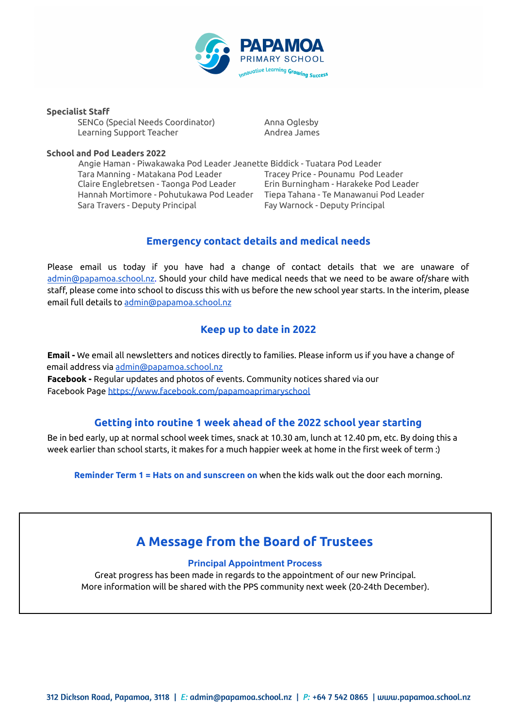

**Specialist Staff**

SENCo (Special Needs Coordinator) Anna Oglesby Learning Support Teacher Andrea James

#### **School and Pod Leaders 2022**

Angie Haman - Piwakawaka Pod Leader Jeanette Biddick - Tuatara Pod Leader Tara Manning - Matakana Pod Leader Tracey Price - Pounamu Pod Leader Claire Englebretsen - Taonga Pod Leader Erin Burningham - Harakeke Pod Leader Hannah Mortimore - Pohutukawa Pod Leader Tiepa Tahana - Te Manawanui Pod Leader Sara Travers - Deputy Principal Fay Warnock - Deputy Principal

# **Emergency contact details and medical needs**

Please email us today if you have had a change of contact details that we are unaware of admin@papamoa.school.nz. Should your child have medical needs that we need to be aware of/share with staff, please come into school to discuss this with us before the new school year starts. In the interim, please email full details to admin@papamoa.school.nz

# **Keep up to date in 2022**

**Email -** We email all newsletters and notices directly to families. Please inform us if you have a change of email address via admin@papamoa.school.nz **Facebook -** Regular updates and photos of events. Community notices shared via our Facebook Page <https://www.facebook.com/papamoaprimaryschool>

# **Getting into routine 1 week ahead of the 2022 school year starting**

Be in bed early, up at normal school week times, snack at 10.30 am, lunch at 12.40 pm, etc. By doing this a week earlier than school starts, it makes for a much happier week at home in the first week of term :)

**Reminder Term 1 = Hats on and sunscreen on** when the kids walk out the door each morning.

# **A Message from the Board of Trustees**

#### **Principal Appointment Process**

Great progress has been made in regards to the appointment of our new Principal. More information will be shared with the PPS community next week (20-24th December).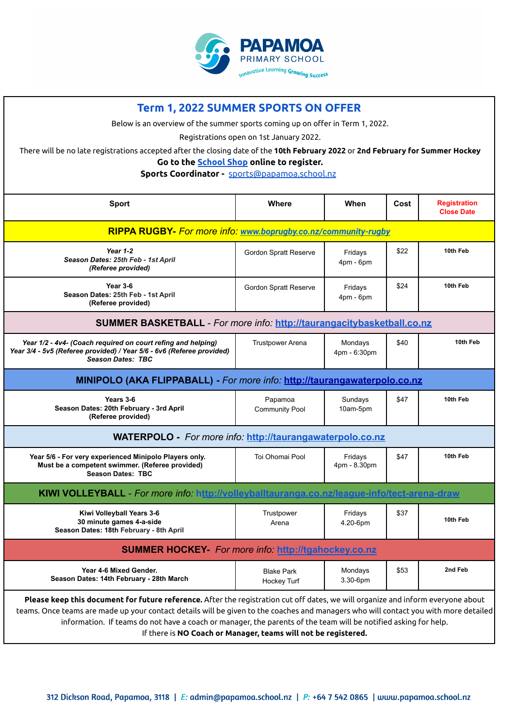

| <b>Term 1, 2022 SUMMER SPORTS ON OFFER</b>                                                                                                                        |                                         |                         |      |                                          |
|-------------------------------------------------------------------------------------------------------------------------------------------------------------------|-----------------------------------------|-------------------------|------|------------------------------------------|
| Below is an overview of the summer sports coming up on offer in Term 1, 2022.                                                                                     |                                         |                         |      |                                          |
|                                                                                                                                                                   | Registrations open on 1st January 2022. |                         |      |                                          |
| There will be no late registrations accepted after the closing date of the 10th February 2022 or 2nd February for Summer Hockey                                   |                                         |                         |      |                                          |
| Go to the <b>School Shop</b> online to register.<br>Sports Coordinator - sports@papamoa.school.nz                                                                 |                                         |                         |      |                                          |
|                                                                                                                                                                   |                                         |                         |      |                                          |
| <b>Sport</b>                                                                                                                                                      | Where                                   | When                    | Cost | <b>Registration</b><br><b>Close Date</b> |
| RIPPA RUGBY- For more info. www.boprugby.co.nz/community-rugby                                                                                                    |                                         |                         |      |                                          |
| Year $1-2$<br>Season Dates: 25th Feb - 1st April<br>(Referee provided)                                                                                            | Gordon Spratt Reserve                   | Fridays<br>$4pm - 6pm$  | \$22 | 10th Feb                                 |
| Year 3-6<br>Season Dates: 25th Feb - 1st April<br>(Referee provided)                                                                                              | Gordon Spratt Reserve                   | Fridays<br>$4pm - 6pm$  | \$24 | 10th Feb                                 |
| SUMMER BASKETBALL - For more info: http://taurangacitybasketball.co.nz                                                                                            |                                         |                         |      |                                          |
| Year 1/2 - 4v4- (Coach required on court refing and helping)<br>Year 3/4 - 5v5 (Referee provided) / Year 5/6 - 6v6 (Referee provided)<br><b>Season Dates: TBC</b> | <b>Trustpower Arena</b>                 | Mondays<br>4pm - 6:30pm | \$40 | 10th Feb                                 |
|                                                                                                                                                                   |                                         |                         |      |                                          |
| MINIPOLO (AKA FLIPPABALL) - For more info: http://taurangawaterpolo.co.nz                                                                                         |                                         |                         |      |                                          |
| Years 3-6<br>Season Dates: 20th February - 3rd April<br>(Referee provided)                                                                                        | Papamoa<br><b>Community Pool</b>        | Sundays<br>10am-5pm     | \$47 | 10th Feb                                 |
| <b>WATERPOLO</b> - For more info: http://taurangawaterpolo.co.nz                                                                                                  |                                         |                         |      |                                          |
| Year 5/6 - For very experienced Minipolo Players only.<br>Must be a competent swimmer. (Referee provided)<br><b>Season Dates: TBC</b>                             | Toi Ohomai Pool                         | Fridays<br>4pm - 8.30pm | \$47 | 10th Feb                                 |
| KIWI VOLLEYBALL - For more info: http://volleyballtauranga.co.nz/league-info/tect-arena-draw                                                                      |                                         |                         |      |                                          |
| Kiwi Volleyball Years 3-6<br>30 minute games 4-a-side<br>Season Dates: 18th February - 8th April                                                                  | Trustpower<br>Arena                     | Fridays<br>4.20-6pm     | \$37 | 10th Feb                                 |
| <b>SUMMER HOCKEY-</b> For more info: http://tgahockey.co.nz                                                                                                       |                                         |                         |      |                                          |
| Year 4-6 Mixed Gender.<br>Season Dates: 14th February - 28th March                                                                                                | <b>Blake Park</b><br>Hockey Turf        | Mondays<br>3.30-6pm     | \$53 | 2nd Feb                                  |

If there is **NO Coach or Manager, teams will not be registered.**